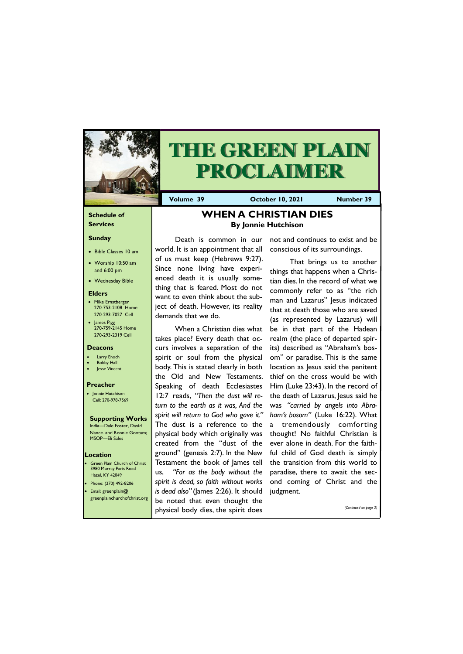### **Schedule of Services**

#### **Sunday**

- Bible Classes 10 am
- Worship 10:50 am and 6:00 pm
- Wednesday Bible

#### **Elders**

- Mike Ernstberger 270-753-2108 Home 270-293-7027 Cell
- James Pigg 270-759-2145 Home 270-293-2319 Cell

Green Plain Church of Christ 3980 Murray Paris Road Hazel, KY 42049 • Phone: (270) 492-8206 • Email: greenplain@

#### **Location**



# **THE GREEN PLAIN PROCLAIMER**

**Volume 39 October 10, 2021 Number 39**

#### **Deacons**

- **Larry Enoch**
- **Bobby Hall**
- Jesse Vincent

#### **Preacher**

• Jonnie Hutchison Cell: 270-978-7569

## **Supporting Works**

India—Dale Foster, David Nance. and Ronnie Gootam; MSOP—Eli Sales

## **WHEN A CHRISTIAN DIES By Jonnie Hutchison**

Death is common in our world. It is an appointment that all of us must keep (Hebrews 9:27). Since none living have experienced death it is usually something that is feared. Most do not want to even think about the subject of death. However, its reality demands that we do.

When a Christian dies what takes place? Every death that occurs involves a separation of the spirit or soul from the physical body. This is stated clearly in both the Old and New Testaments. Speaking of death Ecclesiastes 12:7 reads, *"Then the dust will return to the earth as it was, And the spirit will return to God who gave it."*  The dust is a reference to the physical body which originally was created from the "dust of the ground" (genesis 2:7). In the New Testament the book of James tell us, *"For as the body without the spirit is dead, so faith without works is dead also"* (James 2:26). It should

| greenplainchurchofchrist.org   be noted that even thought the |
|---------------------------------------------------------------|
| (Continued on page 3)<br>physical body dies, the spirit does  |

not and continues to exist and be conscious of its surroundings.

That brings us to another things that happens when a Christian dies. In the record of what we commonly refer to as "the rich man and Lazarus" Jesus indicated that at death those who are saved (as represented by Lazarus) will be in that part of the Hadean realm (the place of departed spirits) described as "Abraham's bosom" or paradise. This is the same location as Jesus said the penitent thief on the cross would be with Him (Luke 23:43). In the record of the death of Lazarus, Jesus said he was *"carried by angels into Abraham's bosom"* (Luke 16:22). What a tremendously comforting thought! No faithful Christian is ever alone in death. For the faithful child of God death is simply the transition from this world to paradise, there to await the second coming of Christ and the judgment.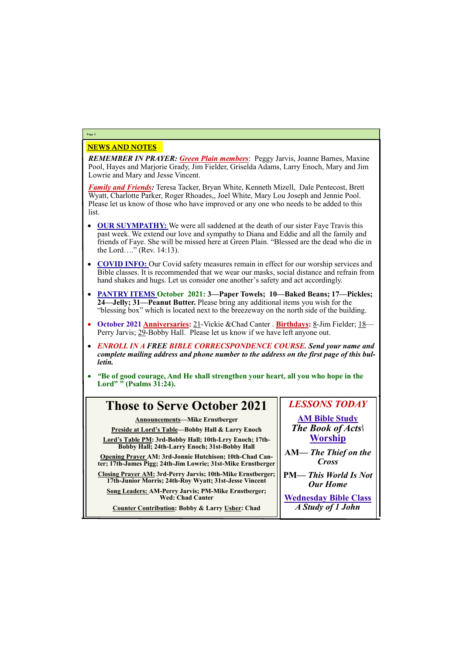## NEWS AND NOTES

*REMEMBER IN PRAYER: Green Plain members*: Peggy Jarvis, Joanne Barnes, Maxine Pool, Hayes and Marjorie Grady, Jim Fielder, Griselda Adams, Larry Enoch, Mary and Jim Lowrie and Mary and Jesse Vincent.

*Family and Friends:* Teresa Tacker, Bryan White, Kenneth Mizell, Dale Pentecost, Brett Wyatt, Charlotte Parker, Roger Rhoades,, Joel White, Mary Lou Joseph and Jennie Pool. Please let us know of those who have improved or any one who needs to be added to this list.

- **OUR SUYMPATHY:** We were all saddened at the death of our sister Faye Travis this past week. We extend our love and sympathy to Diana and Eddie and all the family and friends of Faye. She will be missed here at Green Plain. "Blessed are the dead who die in the Lord…." (Rev. 14:13).
- **COVID INFO:** Our Covid safety measures remain in effect for our worship services and Bible classes. It is recommended that we wear our masks, social distance and refrain from hand shakes and hugs. Let us consider one another's safety and act accordingly.
- **PANTRY ITEMS October 2021: 3—Paper Towels; 10—Baked Beans; 17—Pickles; 24—Jelly; 31—Peanut Butter.** Please bring any additional items you wish for the "blessing box" which is located next to the breezeway on the north side of the building.
- **October 2021 Anniversaries:** 21-Vickie &Chad Canter . **Birthdays:** 8-Jim Fielder; 18— Perry Jarvis; 29-Bobby Hall. Please let us know if we have left anyone out.
- *ENROLL IN A FREE BIBLE CORRECSPONDENCE COURSE. Send your name and complete mailing address and phone number to the address on the first page of this bulletin.*
- *"***Be of good courage, And He shall strengthen your heart, all you who hope in the Lord" " (Psalms 31:24).**

## **Page 2**

## **Those to Serve October 2021**

**Announcements—Mike Ernstberger**

**Preside at Lord's Table—Bobby Hall & Larry Enoch**

**Lord's Table PM: 3rd-Bobby Hall; 10th-Lrry Enoch; 17th-Bobby Hall; 24th-Larry Enoch; 31st-Bobby Hall**

**Opening Prayer AM: 3rd-Jonnie Hutchison; 10th-Chad Canter; 17th-James Pigg; 24th-Jim Lowrie; 31st-Mike Ernstberger**

**Closing Prayer AM: 3rd-Perry Jarvis; 10th-Mike Ernstberger; 17th-Junior Morris; 24th-Roy Wyatt; 31st-Jesse Vincent**

**Song Leaders: AM-Perry Jarvis; PM-Mike Ernstberger;** 

**Wed: Chad Canter**

**Counter Contribution: Bobby & Larry Usher: Chad**

## *LESSONS TODAY* **AM Bible Study** *The Book of Acts\*

**Worship**

**AM***— The Thief on the Cross*

**PM—** *This World Is Not Our Home*

**Wednesday Bible Class** *A Study of 1 John*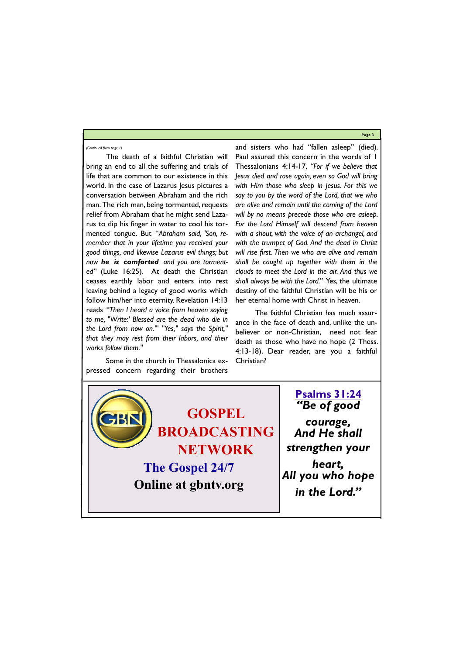**Page 3**



The death of a faithful Christian will bring an end to all the suffering and trials of life that are common to our existence in this world. In the case of Lazarus Jesus pictures a conversation between Abraham and the rich man. The rich man, being tormented, requests relief from Abraham that he might send Lazarus to dip his finger in water to cool his tormented tongue. But "*Abraham said, 'Son, remember that in your lifetime you received your good things, and likewise Lazarus evil things; but now he is comforted and you are tormented"* (Luke 16:25). At death the Christian ceases earthly labor and enters into rest leaving behind a legacy of good works which follow him/her into eternity. Revelation 14:13 reads *"Then I heard a voice from heaven saying to me, "Write:' Blessed are the dead who die in the Lord from now on.'" "Yes," says the Spirit," that they may rest from their labors, and their works follow them."* 

Some in the church in Thessalonica expressed concern regarding their brothers

and sisters who had "fallen asleep" (died). Paul assured this concern in the words of 1 Thessalonians 4:14-17, *"For if we believe that Jesus died and rose again, even so God will bring with Him those who sleep in Jesus. For this we say to you by the word of the Lord, that we who are alive and remain until the coming of the Lord will by no means precede those who are asleep. For the Lord Himself will descend from heaven with a shout, with the voice of an archangel, and with the trumpet of God. And the dead in Christ will rise first. Then we who are alive and remain shall be caught up together with them in the clouds to meet the Lord in the air. And thus we shall always be with the Lord."* Yes, the ultimate destiny of the faithful Christian will be his or her eternal home with Christ in heaven.

The faithful Christian has much assurance in the face of death and, unlike the unbeliever or non-Christian, need not fear death as those who have no hope (2 Thess. 4:13-18). Dear reader, are you a faithful Christian?

#### *(Continued from page 1)*